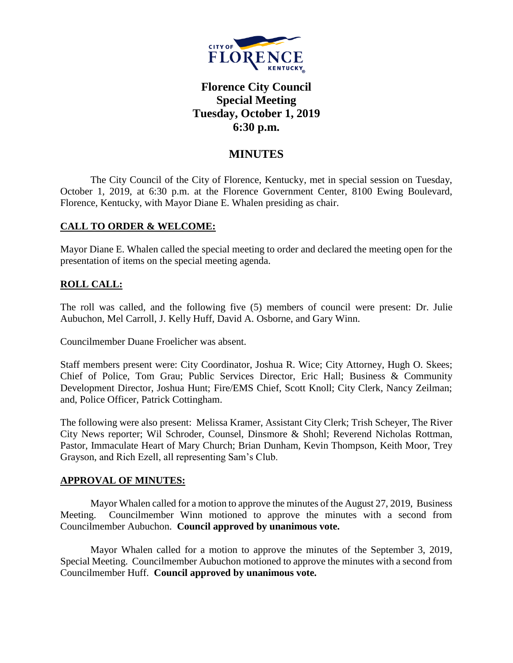

# **Florence City Council Special Meeting Tuesday, October 1, 2019 6:30 p.m.**

# **MINUTES**

The City Council of the City of Florence, Kentucky, met in special session on Tuesday, October 1, 2019, at 6:30 p.m. at the Florence Government Center, 8100 Ewing Boulevard, Florence, Kentucky, with Mayor Diane E. Whalen presiding as chair.

# **CALL TO ORDER & WELCOME:**

Mayor Diane E. Whalen called the special meeting to order and declared the meeting open for the presentation of items on the special meeting agenda.

# **ROLL CALL:**

The roll was called, and the following five (5) members of council were present: Dr. Julie Aubuchon, Mel Carroll, J. Kelly Huff, David A. Osborne, and Gary Winn.

Councilmember Duane Froelicher was absent.

Staff members present were: City Coordinator, Joshua R. Wice; City Attorney, Hugh O. Skees; Chief of Police, Tom Grau; Public Services Director, Eric Hall; Business & Community Development Director, Joshua Hunt; Fire/EMS Chief, Scott Knoll; City Clerk, Nancy Zeilman; and, Police Officer, Patrick Cottingham.

The following were also present: Melissa Kramer, Assistant City Clerk; Trish Scheyer, The River City News reporter; Wil Schroder, Counsel, Dinsmore & Shohl; Reverend Nicholas Rottman, Pastor, Immaculate Heart of Mary Church; Brian Dunham, Kevin Thompson, Keith Moor, Trey Grayson, and Rich Ezell, all representing Sam's Club.

# **APPROVAL OF MINUTES:**

Mayor Whalen called for a motion to approve the minutes of the August 27, 2019, Business Meeting. Councilmember Winn motioned to approve the minutes with a second from Councilmember Aubuchon. **Council approved by unanimous vote.**

Mayor Whalen called for a motion to approve the minutes of the September 3, 2019, Special Meeting. Councilmember Aubuchon motioned to approve the minutes with a second from Councilmember Huff. **Council approved by unanimous vote.**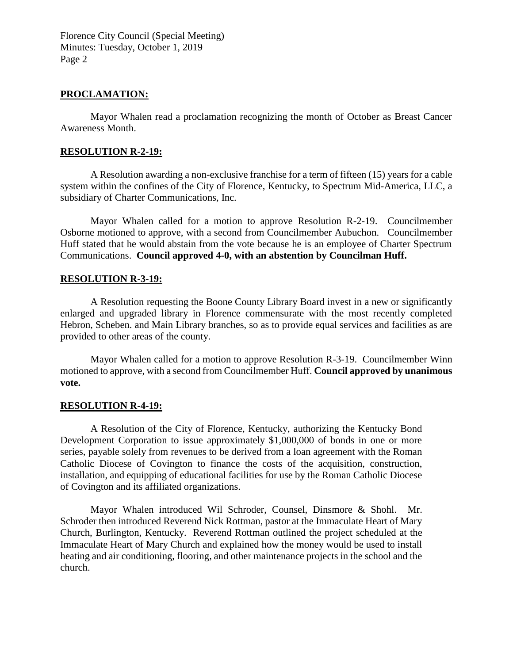Florence City Council (Special Meeting) Minutes: Tuesday, October 1, 2019 Page 2

# **PROCLAMATION:**

Mayor Whalen read a proclamation recognizing the month of October as Breast Cancer Awareness Month.

### **RESOLUTION R-2-19:**

A Resolution awarding a non-exclusive franchise for a term of fifteen (15) years for a cable system within the confines of the City of Florence, Kentucky, to Spectrum Mid-America, LLC, a subsidiary of Charter Communications, Inc.

Mayor Whalen called for a motion to approve Resolution R-2-19. Councilmember Osborne motioned to approve, with a second from Councilmember Aubuchon. Councilmember Huff stated that he would abstain from the vote because he is an employee of Charter Spectrum Communications. **Council approved 4-0, with an abstention by Councilman Huff.**

### **RESOLUTION R-3-19:**

A Resolution requesting the Boone County Library Board invest in a new or significantly enlarged and upgraded library in Florence commensurate with the most recently completed Hebron, Scheben. and Main Library branches, so as to provide equal services and facilities as are provided to other areas of the county.

Mayor Whalen called for a motion to approve Resolution R-3-19. Councilmember Winn motioned to approve, with a second from Councilmember Huff. **Council approved by unanimous vote.**

#### **RESOLUTION R-4-19:**

A Resolution of the City of Florence, Kentucky, authorizing the Kentucky Bond Development Corporation to issue approximately \$1,000,000 of bonds in one or more series, payable solely from revenues to be derived from a loan agreement with the Roman Catholic Diocese of Covington to finance the costs of the acquisition, construction, installation, and equipping of educational facilities for use by the Roman Catholic Diocese of Covington and its affiliated organizations.

Mayor Whalen introduced Wil Schroder, Counsel, Dinsmore & Shohl. Mr. Schroder then introduced Reverend Nick Rottman, pastor at the Immaculate Heart of Mary Church, Burlington, Kentucky. Reverend Rottman outlined the project scheduled at the Immaculate Heart of Mary Church and explained how the money would be used to install heating and air conditioning, flooring, and other maintenance projects in the school and the church.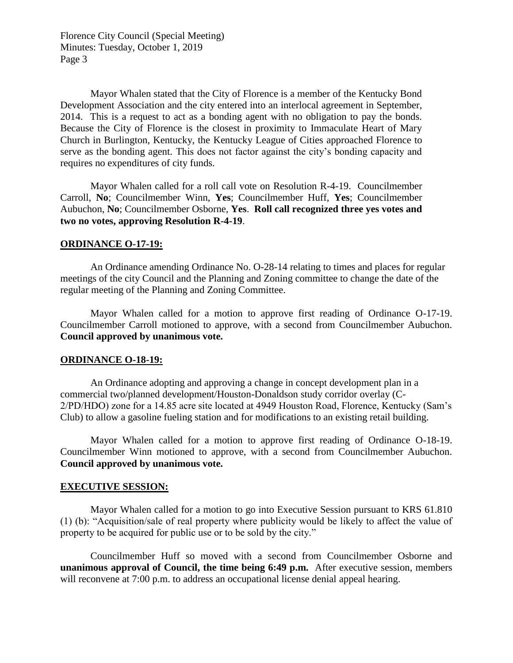Florence City Council (Special Meeting) Minutes: Tuesday, October 1, 2019 Page 3

Mayor Whalen stated that the City of Florence is a member of the Kentucky Bond Development Association and the city entered into an interlocal agreement in September, 2014. This is a request to act as a bonding agent with no obligation to pay the bonds. Because the City of Florence is the closest in proximity to Immaculate Heart of Mary Church in Burlington, Kentucky, the Kentucky League of Cities approached Florence to serve as the bonding agent. This does not factor against the city's bonding capacity and requires no expenditures of city funds.

Mayor Whalen called for a roll call vote on Resolution R-4-19. Councilmember Carroll, **No**; Councilmember Winn, **Yes**; Councilmember Huff, **Yes**; Councilmember Aubuchon, **No**; Councilmember Osborne, **Yes**. **Roll call recognized three yes votes and two no votes, approving Resolution R-4-19**.

### **ORDINANCE O-17-19:**

An Ordinance amending Ordinance No. O-28-14 relating to times and places for regular meetings of the city Council and the Planning and Zoning committee to change the date of the regular meeting of the Planning and Zoning Committee.

Mayor Whalen called for a motion to approve first reading of Ordinance O-17-19. Councilmember Carroll motioned to approve, with a second from Councilmember Aubuchon. **Council approved by unanimous vote.**

#### **ORDINANCE O-18-19:**

An Ordinance adopting and approving a change in concept development plan in a commercial two/planned development/Houston-Donaldson study corridor overlay (C-2/PD/HDO) zone for a 14.85 acre site located at 4949 Houston Road, Florence, Kentucky (Sam's Club) to allow a gasoline fueling station and for modifications to an existing retail building.

Mayor Whalen called for a motion to approve first reading of Ordinance O-18-19. Councilmember Winn motioned to approve, with a second from Councilmember Aubuchon. **Council approved by unanimous vote.**

# **EXECUTIVE SESSION:**

Mayor Whalen called for a motion to go into Executive Session pursuant to KRS 61.810 (1) (b): "Acquisition/sale of real property where publicity would be likely to affect the value of property to be acquired for public use or to be sold by the city."

Councilmember Huff so moved with a second from Councilmember Osborne and **unanimous approval of Council, the time being 6:49 p.m.** After executive session, members will reconvene at 7:00 p.m. to address an occupational license denial appeal hearing.